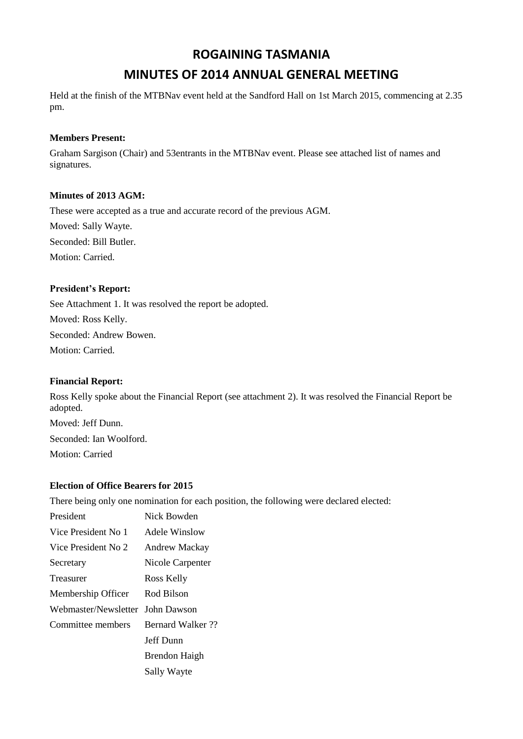## **ROGAINING TASMANIA**

# **MINUTES OF 2014 ANNUAL GENERAL MEETING**

Held at the finish of the MTBNav event held at the Sandford Hall on 1st March 2015, commencing at 2.35 pm.

#### **Members Present:**

Graham Sargison (Chair) and 53entrants in the MTBNav event. Please see attached list of names and signatures.

#### **Minutes of 2013 AGM:**

These were accepted as a true and accurate record of the previous AGM.

Moved: Sally Wayte.

Seconded: Bill Butler.

Motion: Carried.

## **President's Report:**

See Attachment 1. It was resolved the report be adopted. Moved: Ross Kelly. Seconded: Andrew Bowen. Motion: Carried.

## **Financial Report:**

Ross Kelly spoke about the Financial Report (see attachment 2). It was resolved the Financial Report be adopted. Moved: Jeff Dunn. Seconded: Ian Woolford. Motion: Carried

## **Election of Office Bearers for 2015**

There being only one nomination for each position, the following were declared elected:

| President                        | Nick Bowden              |
|----------------------------------|--------------------------|
| Vice President No 1              | Adele Winslow            |
| Vice President No 2              | <b>Andrew Mackay</b>     |
| Secretary                        | Nicole Carpenter         |
| Treasurer                        | Ross Kelly               |
| Membership Officer               | Rod Bilson               |
| Webmaster/Newsletter John Dawson |                          |
| Committee members                | <b>Bernard Walker</b> ?? |
|                                  | Jeff Dunn                |
|                                  | <b>Brendon Haigh</b>     |
|                                  | Sally Wayte              |